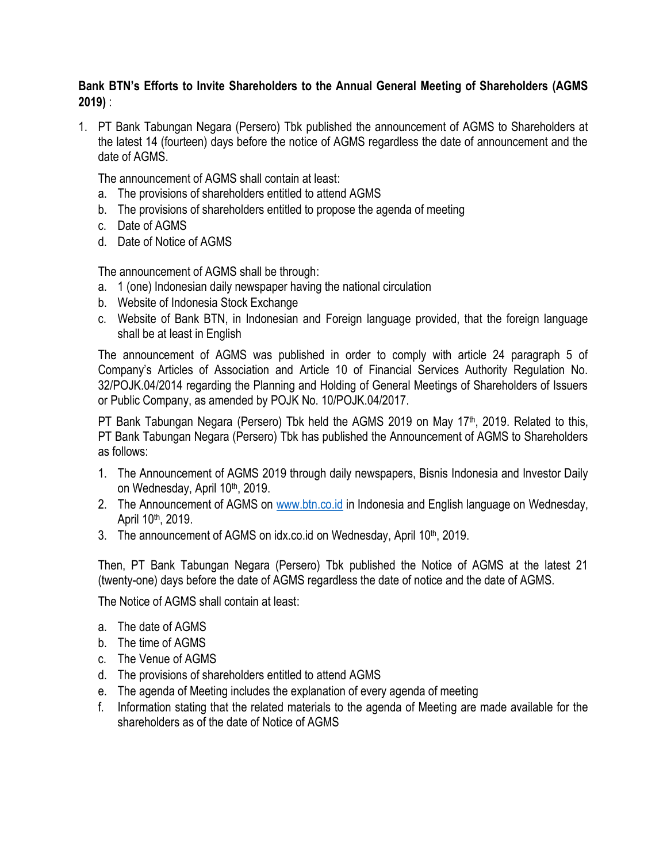## **Bank BTN's Efforts to Invite Shareholders to the Annual General Meeting of Shareholders (AGMS 2019)** :

1. PT Bank Tabungan Negara (Persero) Tbk published the announcement of AGMS to Shareholders at the latest 14 (fourteen) days before the notice of AGMS regardless the date of announcement and the date of AGMS.

The announcement of AGMS shall contain at least:

- a. The provisions of shareholders entitled to attend AGMS
- b. The provisions of shareholders entitled to propose the agenda of meeting
- c. Date of AGMS
- d. Date of Notice of AGMS

The announcement of AGMS shall be through:

- a. 1 (one) Indonesian daily newspaper having the national circulation
- b. Website of Indonesia Stock Exchange
- c. Website of Bank BTN, in Indonesian and Foreign language provided, that the foreign language shall be at least in English

The announcement of AGMS was published in order to comply with article 24 paragraph 5 of Company's Articles of Association and Article 10 of Financial Services Authority Regulation No. 32/POJK.04/2014 regarding the Planning and Holding of General Meetings of Shareholders of Issuers or Public Company, as amended by POJK No. 10/POJK.04/2017.

PT Bank Tabungan Negara (Persero) Tbk held the AGMS 2019 on May 17<sup>th</sup>, 2019. Related to this, PT Bank Tabungan Negara (Persero) Tbk has published the Announcement of AGMS to Shareholders as follows:

- 1. The Announcement of AGMS 2019 through daily newspapers, Bisnis Indonesia and Investor Daily on Wednesday, April 10<sup>th</sup>, 2019.
- 2. The Announcement of AGMS on [www.btn.co.id](http://www.btn.co.id/) in Indonesia and English language on Wednesday, April 10th, 2019.
- 3. The announcement of AGMS on idx.co.id on Wednesday, April 10<sup>th</sup>, 2019.

Then, PT Bank Tabungan Negara (Persero) Tbk published the Notice of AGMS at the latest 21 (twenty-one) days before the date of AGMS regardless the date of notice and the date of AGMS.

The Notice of AGMS shall contain at least:

- a. The date of AGMS
- b. The time of AGMS
- c. The Venue of AGMS
- d. The provisions of shareholders entitled to attend AGMS
- e. The agenda of Meeting includes the explanation of every agenda of meeting
- f. Information stating that the related materials to the agenda of Meeting are made available for the shareholders as of the date of Notice of AGMS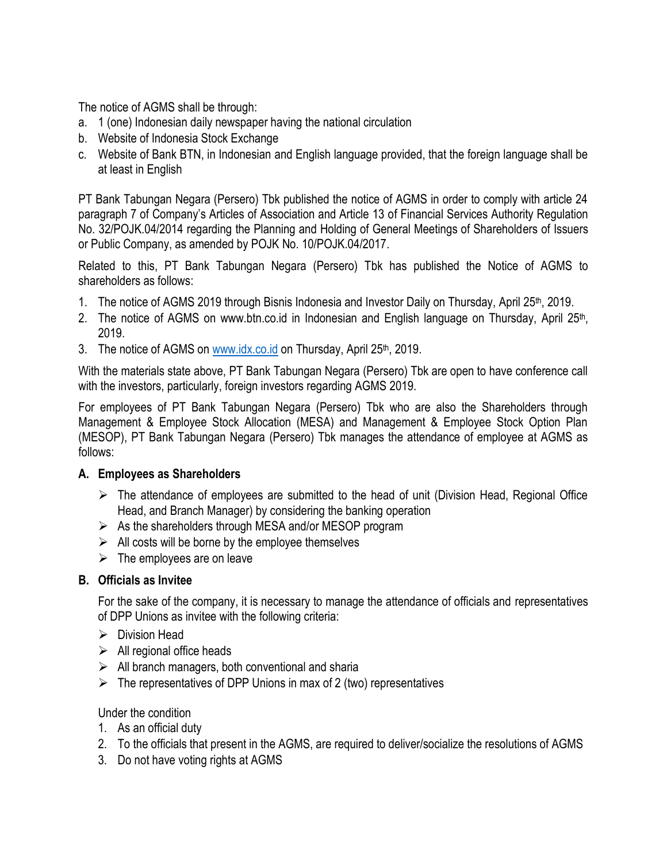The notice of AGMS shall be through:

- a. 1 (one) Indonesian daily newspaper having the national circulation
- b. Website of Indonesia Stock Exchange
- c. Website of Bank BTN, in Indonesian and English language provided, that the foreign language shall be at least in English

PT Bank Tabungan Negara (Persero) Tbk published the notice of AGMS in order to comply with article 24 paragraph 7 of Company's Articles of Association and Article 13 of Financial Services Authority Regulation No. 32/POJK.04/2014 regarding the Planning and Holding of General Meetings of Shareholders of Issuers or Public Company, as amended by POJK No. 10/POJK.04/2017.

Related to this, PT Bank Tabungan Negara (Persero) Tbk has published the Notice of AGMS to shareholders as follows:

- 1. The notice of AGMS 2019 through Bisnis Indonesia and Investor Daily on Thursday, April 25<sup>th</sup>, 2019.
- 2. The notice of AGMS on www.btn.co.id in Indonesian and English language on Thursday, April 25<sup>th</sup>, 2019.
- 3. The notice of AGMS on [www.idx.co.id](http://www.idx.co.id/) on Thursday, April 25<sup>th</sup>, 2019.

With the materials state above, PT Bank Tabungan Negara (Persero) Tbk are open to have conference call with the investors, particularly, foreign investors regarding AGMS 2019.

For employees of PT Bank Tabungan Negara (Persero) Tbk who are also the Shareholders through Management & Employee Stock Allocation (MESA) and Management & Employee Stock Option Plan (MESOP), PT Bank Tabungan Negara (Persero) Tbk manages the attendance of employee at AGMS as follows:

## **A. Employees as Shareholders**

- $\triangleright$  The attendance of employees are submitted to the head of unit (Division Head, Regional Office Head, and Branch Manager) by considering the banking operation
- $\triangleright$  As the shareholders through MESA and/or MESOP program
- $\triangleright$  All costs will be borne by the employee themselves
- $\triangleright$  The employees are on leave

## **B. Officials as Invitee**

For the sake of the company, it is necessary to manage the attendance of officials and representatives of DPP Unions as invitee with the following criteria:

- $\triangleright$  Division Head
- $\triangleright$  All regional office heads
- $\triangleright$  All branch managers, both conventional and sharia
- $\triangleright$  The representatives of DPP Unions in max of 2 (two) representatives

Under the condition

- 1. As an official duty
- 2. To the officials that present in the AGMS, are required to deliver/socialize the resolutions of AGMS
- 3. Do not have voting rights at AGMS